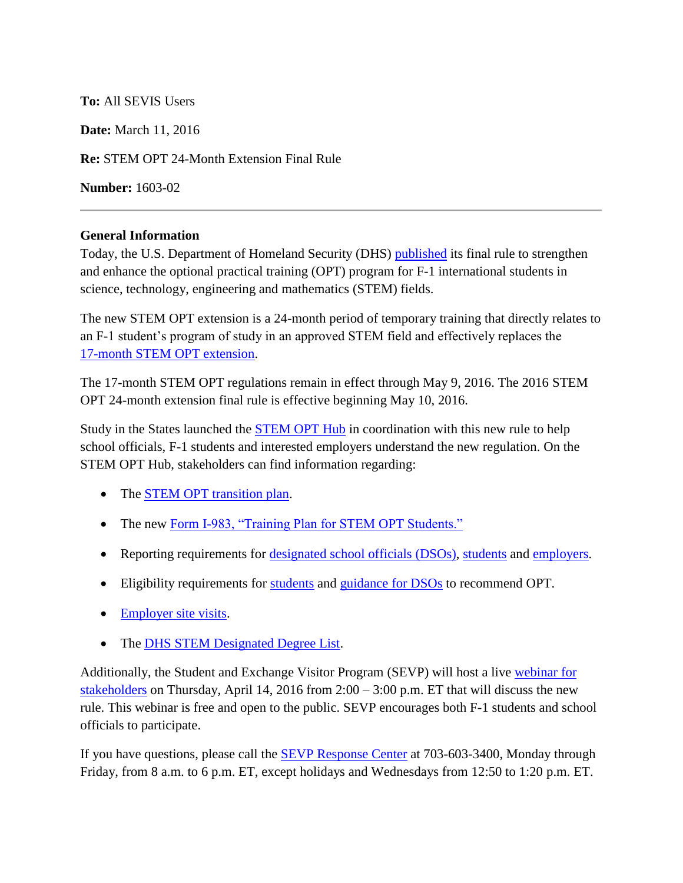## **To:** All SEVIS Users

**Date:** March 11, 2016

**Re:** STEM OPT 24-Month Extension Final Rule

**Number:** 1603-02

## **General Information**

Today, the U.S. Department of Homeland Security (DHS) [published](https://www.federalregister.gov/articles/2016/03/11/2016-04828/improving-and-expanding-training-opportunities-for-f-1-nonimmigrant-students-with-stem-degrees-and) its final rule to strengthen and enhance the optional practical training (OPT) program for F-1 international students in science, technology, engineering and mathematics (STEM) fields.

The new STEM OPT extension is a 24-month period of temporary training that directly relates to an F-1 student's program of study in an approved STEM field and effectively replaces the [17-month STEM OPT extension.](https://studyinthestates.dhs.gov/17-month-opt-stem-extension)

The 17-month STEM OPT regulations remain in effect through May 9, 2016. The 2016 STEM OPT 24-month extension final rule is effective beginning May 10, 2016.

Study in the States launched the [STEM OPT Hub](https://studyinthestates.dhs.gov/stem-opt-hub) in coordination with this new rule to help school officials, F-1 students and interested employers understand the new regulation. On the STEM OPT Hub, stakeholders can find information regarding:

- The [STEM OPT transition plan.](https://studyinthestates.dhs.gov/transition-plan-overview)
- The new [Form I-983, "Training Plan for STEM OPT Students."](https://studyinthestates.dhs.gov/form-i-983-overview)
- Reporting requirements for [designated school officials](https://studyinthestates.dhs.gov/dsos-stem-opt-reporting-requirements) (DSOs), [students](https://studyinthestates.dhs.gov/students-stem-opt-reporting-requirements) and [employers.](https://studyinthestates.dhs.gov/employers-stem-opt-reporting-requirements)
- Eligibility requirements for [students](https://studyinthestates.dhs.gov/students-determining-stem-opt-extension-eligibility) and [guidance for DSOs](https://studyinthestates.dhs.gov/dsos-recommending-students-for-the-stem-opt-extension) to recommend OPT.
- [Employer site visits.](https://studyinthestates.dhs.gov/employer-site-visits)
- The [DHS STEM Designated Degree List.](https://studyinthestates.dhs.gov/eligible-cip-codes-for-the-stem-opt-extension)

Additionally, the Student and Exchange Visitor Program (SEVP) will host a live [webinar](https://studyinthestates.dhs.gov/stakeholder-webinars) for [stakeholders](https://studyinthestates.dhs.gov/stakeholder-webinars) on Thursday, April 14, 2016 from  $2:00 - 3:00$  p.m. ET that will discuss the new rule. This webinar is free and open to the public. SEVP encourages both F-1 students and school officials to participate.

If you have questions, please call the **SEVP** Response Center at 703-603-3400, Monday through Friday, from 8 a.m. to 6 p.m. ET, except holidays and Wednesdays from 12:50 to 1:20 p.m. ET.